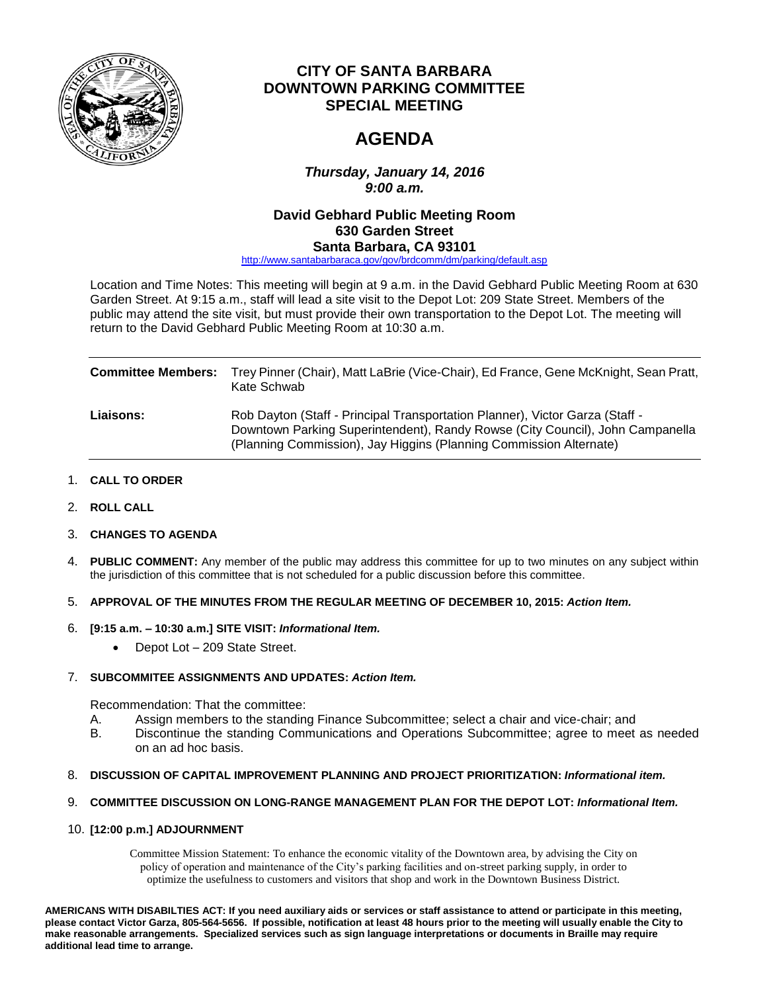

## **CITY OF SANTA BARBARA DOWNTOWN PARKING COMMITTEE SPECIAL MEETING**

# **AGENDA**

*Thursday, January 14, 2016 9:00 a.m.*

### **David Gebhard Public Meeting Room 630 Garden Street Santa Barbara, CA 93101**

[http://www.santabarbaraca.gov/gov/brdcomm/dm/parking/default.asp](http://www.santabarbaraca.gov/gov/brdcomm/dm/parking/default.asp?utm_source=PublicWorks&utm_medium=WebsitePostings&utm_campaign=DPC-FullCommitteeAgendas)

Location and Time Notes: This meeting will begin at 9 a.m. in the David Gebhard Public Meeting Room at 630 Garden Street. At 9:15 a.m., staff will lead a site visit to the Depot Lot: 209 State Street. Members of the public may attend the site visit, but must provide their own transportation to the Depot Lot. The meeting will return to the David Gebhard Public Meeting Room at 10:30 a.m.

| <b>Committee Members:</b> | Trey Pinner (Chair), Matt LaBrie (Vice-Chair), Ed France, Gene McKnight, Sean Pratt,<br>Kate Schwab                                                                                                                                 |
|---------------------------|-------------------------------------------------------------------------------------------------------------------------------------------------------------------------------------------------------------------------------------|
| <b>Liaisons:</b>          | Rob Dayton (Staff - Principal Transportation Planner), Victor Garza (Staff -<br>Downtown Parking Superintendent), Randy Rowse (City Council), John Campanella<br>(Planning Commission), Jay Higgins (Planning Commission Alternate) |

- 1. **CALL TO ORDER**
- 2. **ROLL CALL**
- 3. **CHANGES TO AGENDA**
- 4. **PUBLIC COMMENT:** Any member of the public may address this committee for up to two minutes on any subject within the jurisdiction of this committee that is not scheduled for a public discussion before this committee.
- 5. **APPROVAL OF THE MINUTES FROM THE REGULAR MEETING OF DECEMBER 10, 2015:** *Action Item.*
- 6. **[9:15 a.m. – 10:30 a.m.] SITE VISIT:** *Informational Item.*
	- Depot Lot 209 State Street.

#### 7. **SUBCOMMITEE ASSIGNMENTS AND UPDATES:** *Action Item.*

Recommendation: That the committee:

- A. Assign members to the standing Finance Subcommittee; select a chair and vice-chair; and
- B. Discontinue the standing Communications and Operations Subcommittee; agree to meet as needed on an ad hoc basis.

#### 8. **DISCUSSION OF CAPITAL IMPROVEMENT PLANNING AND PROJECT PRIORITIZATION:** *Informational item.*

#### 9. **COMMITTEE DISCUSSION ON LONG-RANGE MANAGEMENT PLAN FOR THE DEPOT LOT:** *Informational Item.*

#### 10. **[12:00 p.m.] ADJOURNMENT**

Committee Mission Statement: To enhance the economic vitality of the Downtown area, by advising the City on policy of operation and maintenance of the City's parking facilities and on-street parking supply, in order to optimize the usefulness to customers and visitors that shop and work in the Downtown Business District.

**AMERICANS WITH DISABILTIES ACT: If you need auxiliary aids or services or staff assistance to attend or participate in this meeting, please contact Victor Garza, 805-564-5656. If possible, notification at least 48 hours prior to the meeting will usually enable the City to make reasonable arrangements. Specialized services such as sign language interpretations or documents in Braille may require additional lead time to arrange.**